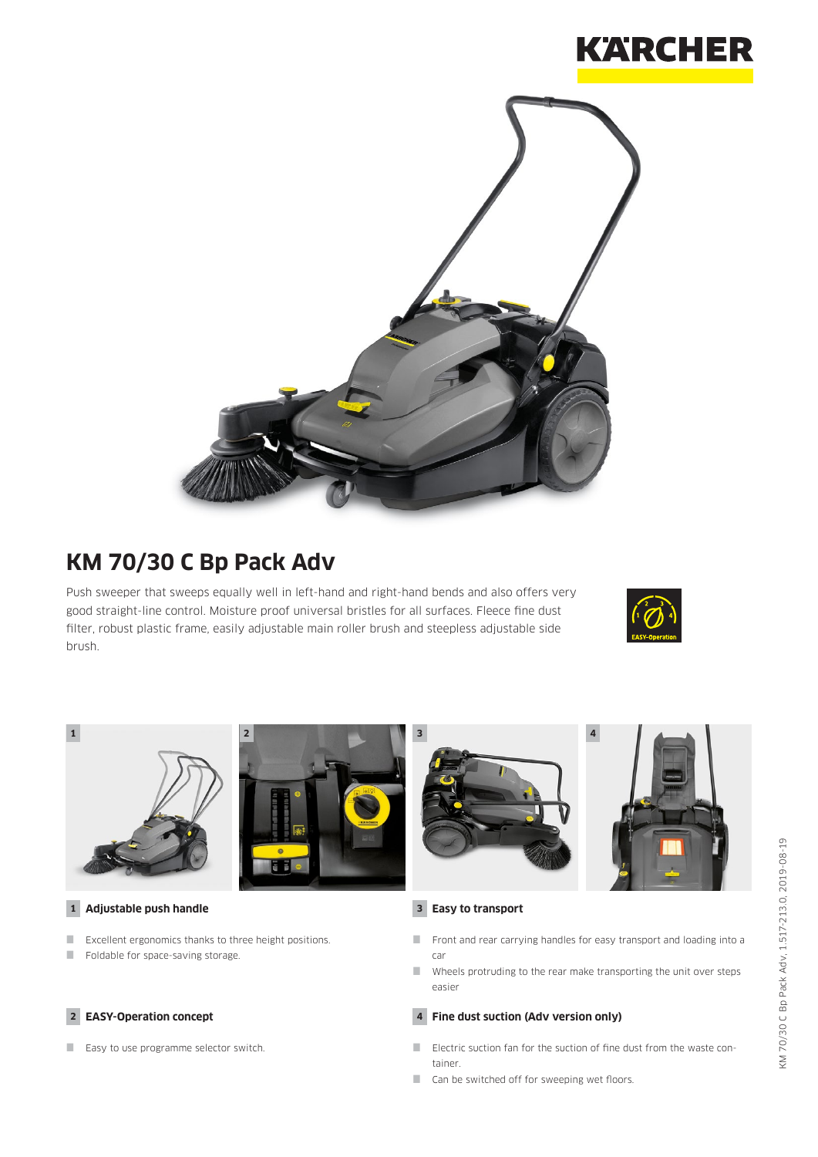



# **KM 70/30 C Bp Pack Adv**

Push sweeper that sweeps equally well in left-hand and right-hand bends and also offers very good straight-line control. Moisture proof universal bristles for all surfaces. Fleece fine dust filter, robust plastic frame, easily adjustable main roller brush and steepless adjustable side brush.





Wheels protruding to the rear make transporting the unit over steps easier

#### **4 Fine dust suction (Adv version only)**

- Electric suction fan for the suction of fine dust from the waste container.
- Can be switched off for sweeping wet floors.

### **2 EASY-Operation concept**

Easy to use programme selector switch.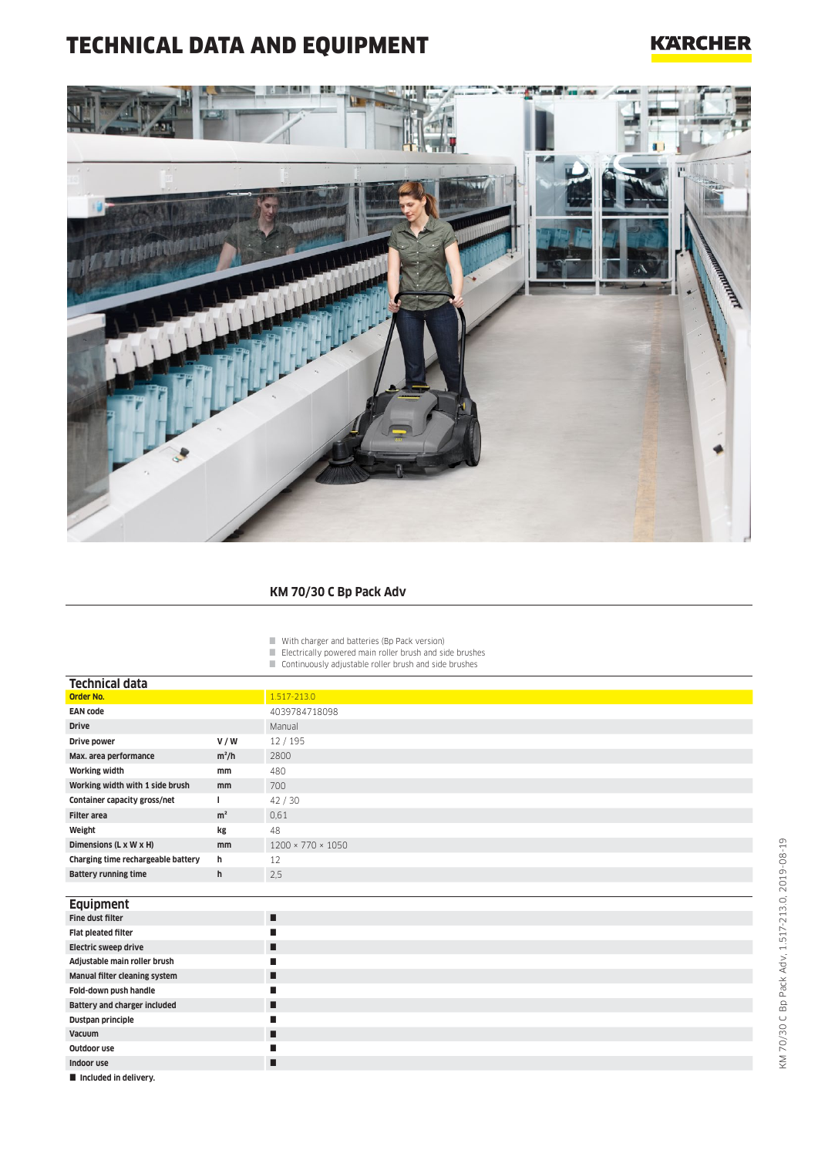## TECHNICAL DATA AND EQUIPMENT

### **KARCHER**



#### **KM 70/30 C Bp Pack Adv**

- With charger and batteries (Bp Pack version)
- Electrically powered main roller brush and side brushes
- Continuously adjustable roller brush and side brushes

| Technical data                     |                |                               |
|------------------------------------|----------------|-------------------------------|
| Order No.                          |                | 1.517-213.0                   |
| <b>EAN code</b>                    |                | 4039784718098                 |
| <b>Drive</b>                       |                | Manual                        |
| Drive power                        | V/W            | 12/195                        |
| Max. area performance              | $m^2/h$        | 2800                          |
| <b>Working width</b>               | mm             | 480                           |
| Working width with 1 side brush    | mm             | 700                           |
| Container capacity gross/net       |                | 42/30                         |
| <b>Filter area</b>                 | m <sup>2</sup> | 0.61                          |
| Weight                             | kg             | 48                            |
| Dimensions (L x W x H)             | mm             | $1200 \times 770 \times 1050$ |
| Charging time rechargeable battery | h              | 12                            |
| <b>Battery running time</b>        | h              | 2.5                           |
|                                    |                |                               |

| <b>Equipment</b>              |   |
|-------------------------------|---|
| Fine dust filter              | п |
| Flat pleated filter           | П |
| Electric sweep drive          | П |
| Adjustable main roller brush  | П |
| Manual filter cleaning system | п |
| Fold-down push handle         | П |
| Battery and charger included  | П |
| Dustpan principle             | п |
| Vacuum                        | п |
| Outdoor use                   | П |
| Indoor use                    | П |
| Included in delivery.         |   |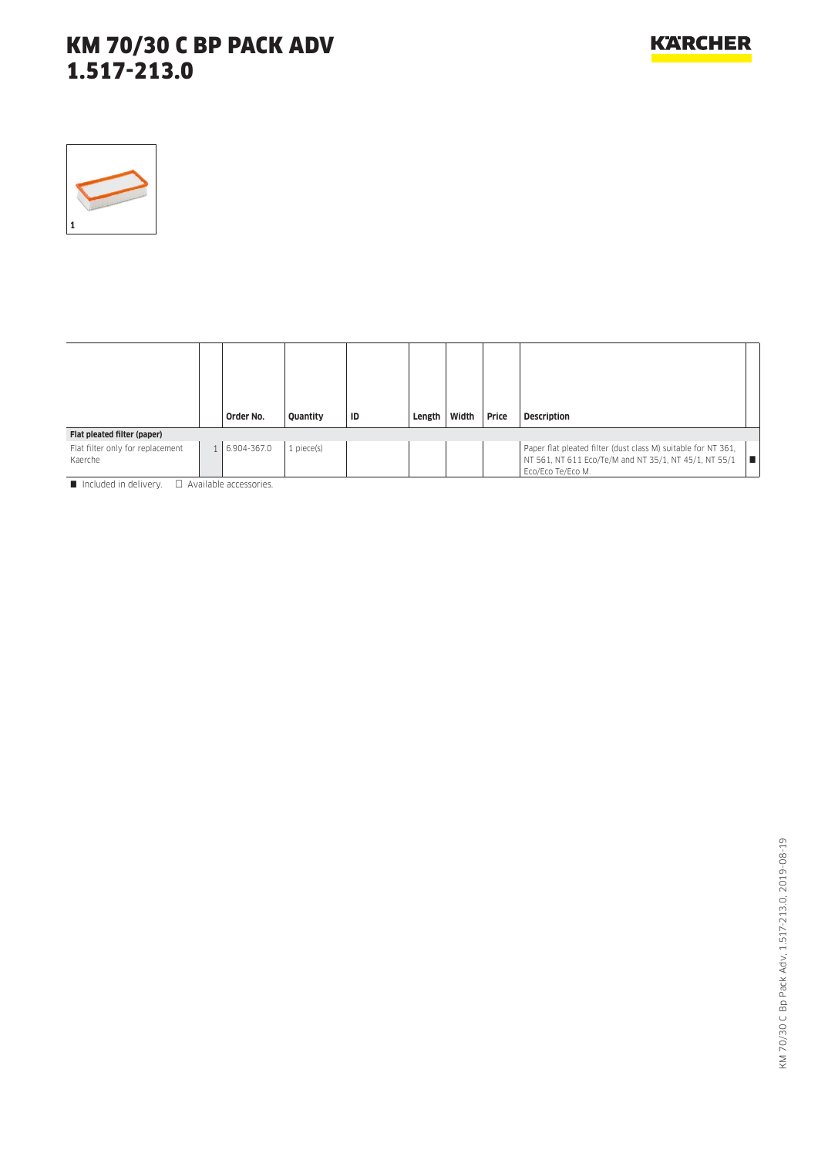

|                                             | Order No.   | Quantity   | ID | Length | Width | Price | Description                                                                                                                                        |
|---------------------------------------------|-------------|------------|----|--------|-------|-------|----------------------------------------------------------------------------------------------------------------------------------------------------|
| Flat pleated filter (paper)                 |             |            |    |        |       |       |                                                                                                                                                    |
| Flat filter only for replacement<br>Kaerche | 6.904-367.0 | 1 piece(s) |    |        |       |       | Paper flat pleated filter (dust class M) suitable for NT 361,<br>NT 561, NT 611 Eco/Te/M and NT 35/1, NT 45/1, NT 55/1<br>I E<br>Eco/Eco Te/Eco M. |

 $\blacksquare$  Included in delivery.  $\Box$  Available accessories.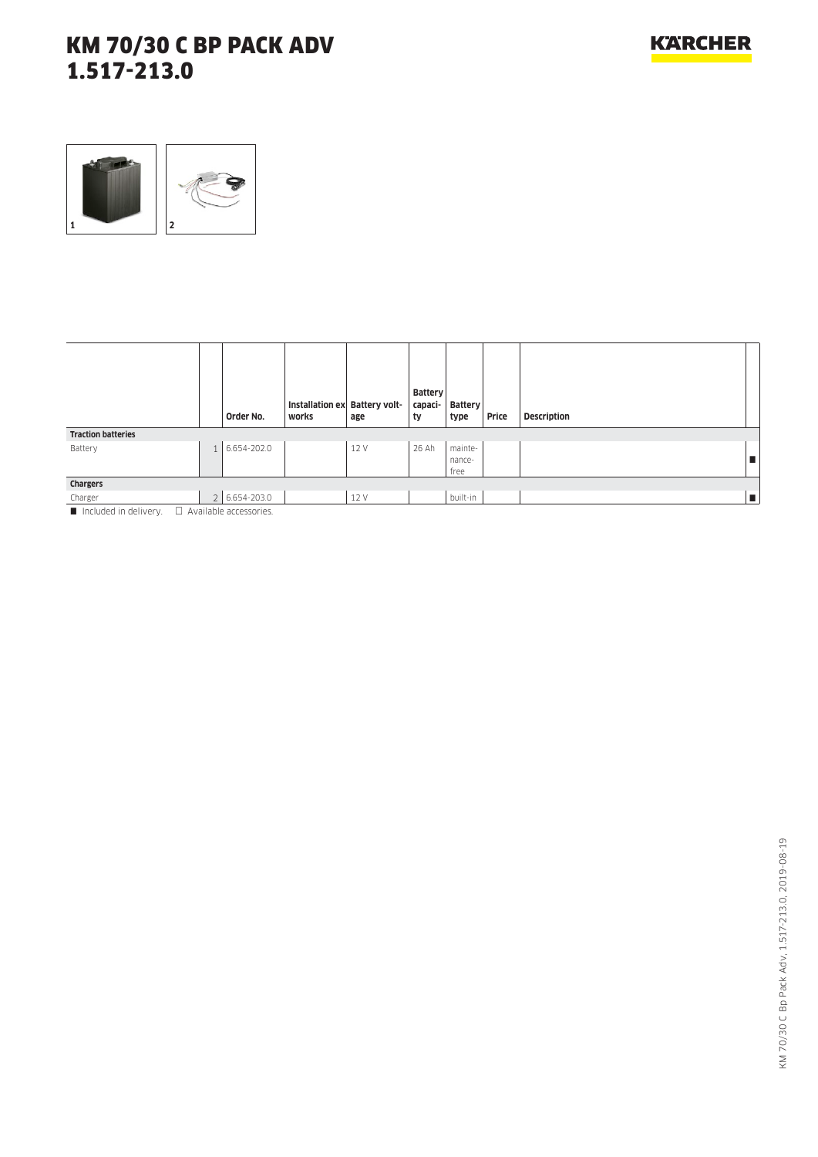

|                           | Order No.                   | Installation ex Battery volt-<br>works | age  | <b>Battery</b><br>capaci-<br>ty | Battery<br>type           | Price | <b>Description</b> |    |
|---------------------------|-----------------------------|----------------------------------------|------|---------------------------------|---------------------------|-------|--------------------|----|
| <b>Traction batteries</b> |                             |                                        |      |                                 |                           |       |                    |    |
| Battery                   | 6.654-202.0                 |                                        | 12 V | 26 Ah                           | mainte-<br>nance-<br>free |       |                    | п  |
| Chargers                  |                             |                                        |      |                                 |                           |       |                    |    |
| Charger                   | $2   6.654 - 203.0$         |                                        | 12 V |                                 | built-in                  |       |                    | Œ. |
| Included in delivery      | $\Box$ Available accordance |                                        |      |                                 |                           |       |                    |    |

Included in delivery.  $\Box$  Available accessories.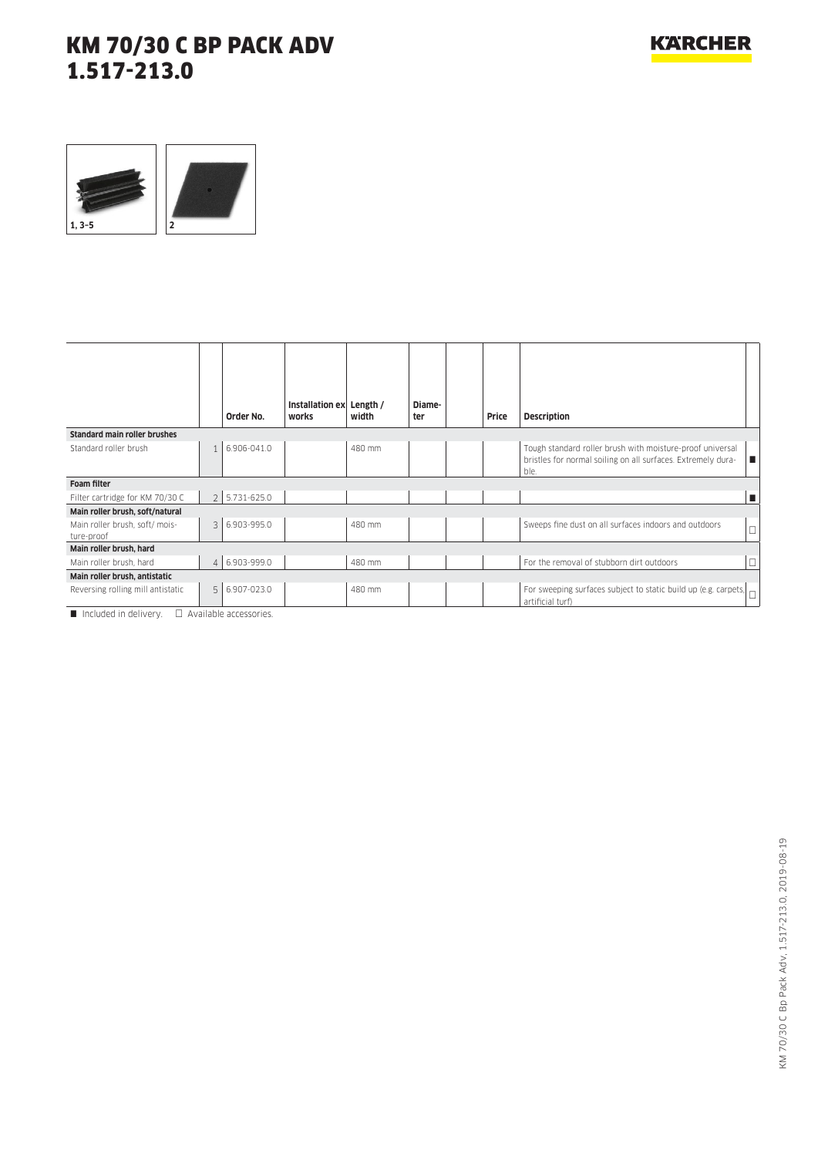

|                                             | Order No.     | Installation ex<br>works | Length /<br>width | Diame-<br>ter | Price | <b>Description</b>                                                                                                                |        |
|---------------------------------------------|---------------|--------------------------|-------------------|---------------|-------|-----------------------------------------------------------------------------------------------------------------------------------|--------|
| <b>Standard main roller brushes</b>         |               |                          |                   |               |       |                                                                                                                                   |        |
| Standard roller brush                       | 6.906-041.0   |                          | 480 mm            |               |       | Tough standard roller brush with moisture-proof universal<br>bristles for normal soiling on all surfaces. Extremely dura-<br>ble. | H      |
| <b>Foam filter</b>                          |               |                          |                   |               |       |                                                                                                                                   |        |
| Filter cartridge for KM 70/30 C             | 2 5.731-625.0 |                          |                   |               |       |                                                                                                                                   | п      |
| Main roller brush, soft/natural             |               |                          |                   |               |       |                                                                                                                                   |        |
| Main roller brush, soft/mois-<br>ture-proof | 3 6.903-995.0 |                          | 480 mm            |               |       | Sweeps fine dust on all surfaces indoors and outdoors                                                                             | $\Box$ |
| Main roller brush, hard                     |               |                          |                   |               |       |                                                                                                                                   |        |
| Main roller brush, hard                     | 4 6.903-999.0 |                          | 480 mm            |               |       | For the removal of stubborn dirt outdoors                                                                                         | $\Box$ |
| Main roller brush, antistatic               |               |                          |                   |               |       |                                                                                                                                   |        |
| Reversing rolling mill antistatic           | 5 6.907-023.0 |                          | 480 mm            |               |       | For sweeping surfaces subject to static build up (e.g. carpets, $\boxed{\Box}$<br>artificial turf)                                |        |

 $\Box$  Included in delivery.  $\Box$  Available accessories.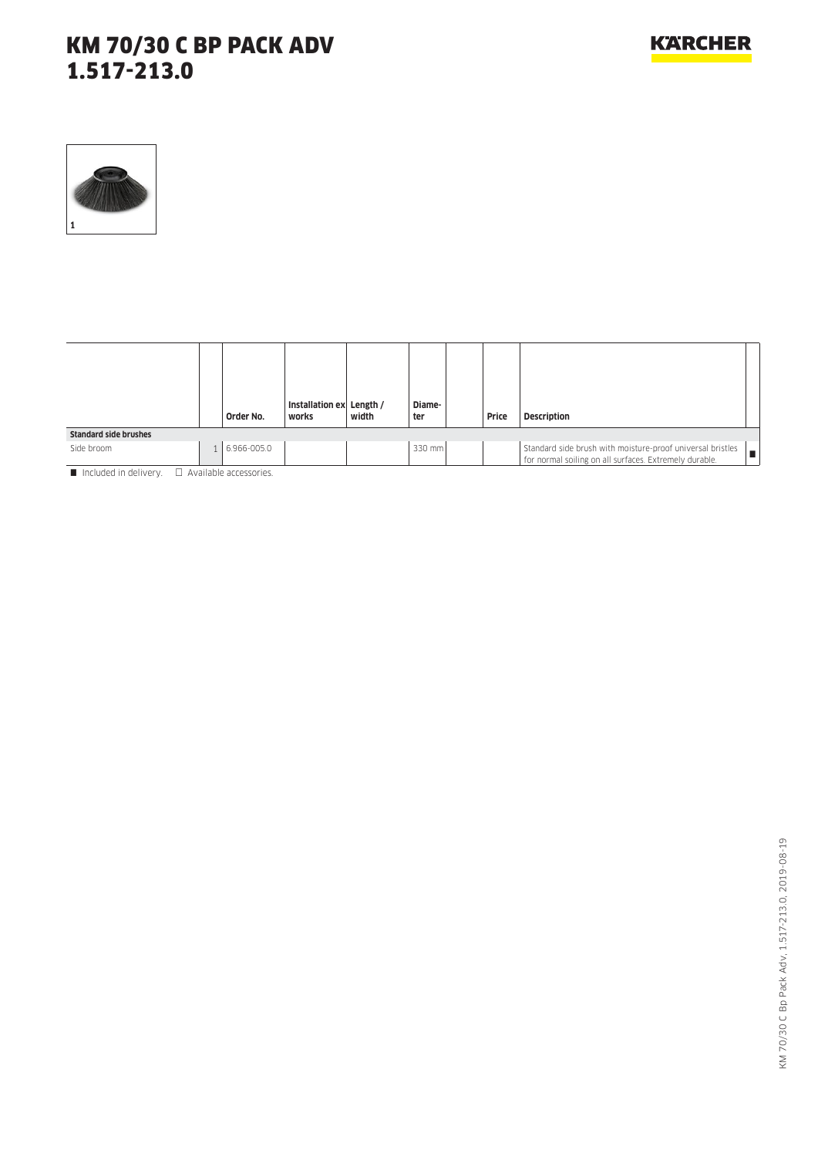

|                              | Order No.   | Installation ex Length /<br>works | width | Diame-<br>ter | Price | <b>Description</b>                                                                                                   |
|------------------------------|-------------|-----------------------------------|-------|---------------|-------|----------------------------------------------------------------------------------------------------------------------|
| <b>Standard side brushes</b> |             |                                   |       |               |       |                                                                                                                      |
| Side broom                   | 6.966-005.0 |                                   |       | 330 mm        |       | Standard side brush with moisture-proof universal bristles<br>for normal soiling on all surfaces. Extremely durable. |

 $\blacksquare$  Included in delivery.  $\Box$  Available accessories.